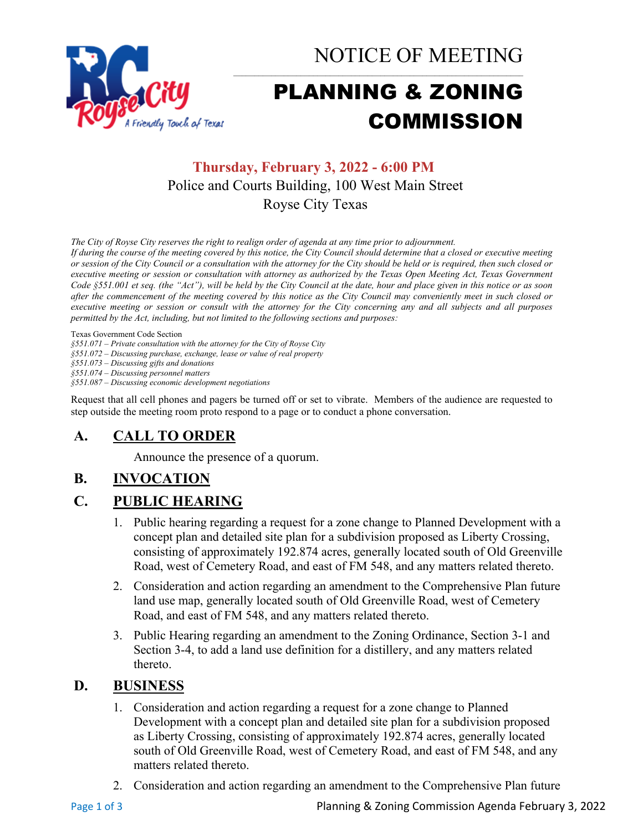

NOTICE OF MEETING

# PLANNING & ZONING COMMISSION

# **Thursday, February 3, 2022 - 6:00 PM** Police and Courts Building, 100 West Main Street Royse City Texas

*The City of Royse City reserves the right to realign order of agenda at any time prior to adjournment.*

*If during the course of the meeting covered by this notice, the City Council should determine that a closed or executive meeting or session of the City Council or a consultation with the attorney for the City should be held or is required, then such closed or executive meeting or session or consultation with attorney as authorized by the Texas Open Meeting Act, Texas Government Code §551.001 et seq. (the "Act"), will be held by the City Council at the date, hour and place given in this notice or as soon after the commencement of the meeting covered by this notice as the City Council may conveniently meet in such closed or executive meeting or session or consult with the attorney for the City concerning any and all subjects and all purposes permitted by the Act, including, but not limited to the following sections and purposes:*

Texas Government Code Section

*§551.071 – Private consultation with the attorney for the City of Royse City* 

*§551.072 – Discussing purchase, exchange, lease or value of real property* 

*§551.073 – Discussing gifts and donations*

*§551.074 – Discussing personnel matters*

*§551.087 – Discussing economic development negotiations*

Request that all cell phones and pagers be turned off or set to vibrate. Members of the audience are requested to step outside the meeting room proto respond to a page or to conduct a phone conversation.

## **A. CALL TO ORDER**

Announce the presence of a quorum.

## **B. INVOCATION**

## **C. PUBLIC HEARING**

- 1. Public hearing regarding a request for a zone change to Planned Development with a concept plan and detailed site plan for a subdivision proposed as Liberty Crossing, consisting of approximately 192.874 acres, generally located south of Old Greenville Road, west of Cemetery Road, and east of FM 548, and any matters related thereto.
- 2. Consideration and action regarding an amendment to the Comprehensive Plan future land use map, generally located south of Old Greenville Road, west of Cemetery Road, and east of FM 548, and any matters related thereto.
- 3. Public Hearing regarding an amendment to the Zoning Ordinance, Section 3-1 and Section 3-4, to add a land use definition for a distillery, and any matters related thereto.

## **D. BUSINESS**

- 1. Consideration and action regarding a request for a zone change to Planned Development with a concept plan and detailed site plan for a subdivision proposed as Liberty Crossing, consisting of approximately 192.874 acres, generally located south of Old Greenville Road, west of Cemetery Road, and east of FM 548, and any matters related thereto.
- 2. Consideration and action regarding an amendment to the Comprehensive Plan future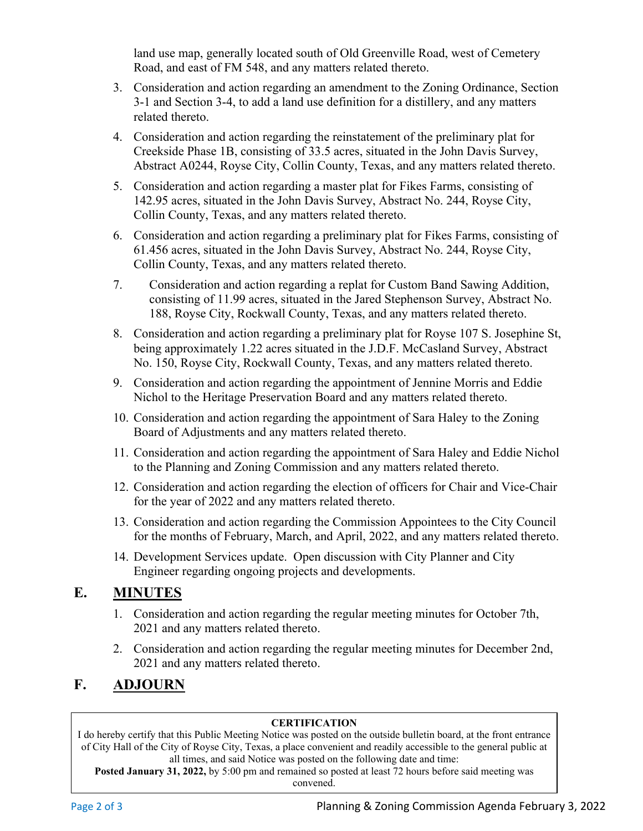land use map, generally located south of Old Greenville Road, west of Cemetery Road, and east of FM 548, and any matters related thereto.

- 3. Consideration and action regarding an amendment to the Zoning Ordinance, Section 3-1 and Section 3-4, to add a land use definition for a distillery, and any matters related thereto.
- 4. Consideration and action regarding the reinstatement of the preliminary plat for Creekside Phase 1B, consisting of 33.5 acres, situated in the John Davis Survey, Abstract A0244, Royse City, Collin County, Texas, and any matters related thereto.
- 5. Consideration and action regarding a master plat for Fikes Farms, consisting of 142.95 acres, situated in the John Davis Survey, Abstract No. 244, Royse City, Collin County, Texas, and any matters related thereto.
- 6. Consideration and action regarding a preliminary plat for Fikes Farms, consisting of 61.456 acres, situated in the John Davis Survey, Abstract No. 244, Royse City, Collin County, Texas, and any matters related thereto.
- 7. Consideration and action regarding a replat for Custom Band Sawing Addition, consisting of 11.99 acres, situated in the Jared Stephenson Survey, Abstract No. 188, Royse City, Rockwall County, Texas, and any matters related thereto.
- 8. Consideration and action regarding a preliminary plat for Royse 107 S. Josephine St, being approximately 1.22 acres situated in the J.D.F. McCasland Survey, Abstract No. 150, Royse City, Rockwall County, Texas, and any matters related thereto.
- 9. Consideration and action regarding the appointment of Jennine Morris and Eddie Nichol to the Heritage Preservation Board and any matters related thereto.
- 10. Consideration and action regarding the appointment of Sara Haley to the Zoning Board of Adjustments and any matters related thereto.
- 11. Consideration and action regarding the appointment of Sara Haley and Eddie Nichol to the Planning and Zoning Commission and any matters related thereto.
- 12. Consideration and action regarding the election of officers for Chair and Vice-Chair for the year of 2022 and any matters related thereto.
- 13. Consideration and action regarding the Commission Appointees to the City Council for the months of February, March, and April, 2022, and any matters related thereto.
- 14. Development Services update. Open discussion with City Planner and City Engineer regarding ongoing projects and developments.

## **E. MINUTES**

- 1. Consideration and action regarding the regular meeting minutes for October 7th, 2021 and any matters related thereto.
- 2. Consideration and action regarding the regular meeting minutes for December 2nd, 2021 and any matters related thereto.

## **F. ADJOURN**

### **CERTIFICATION**

I do hereby certify that this Public Meeting Notice was posted on the outside bulletin board, at the front entrance of City Hall of the City of Royse City, Texas, a place convenient and readily accessible to the general public at all times, and said Notice was posted on the following date and time:

**Posted January 31, 2022,** by 5:00 pm and remained so posted at least 72 hours before said meeting was convened.